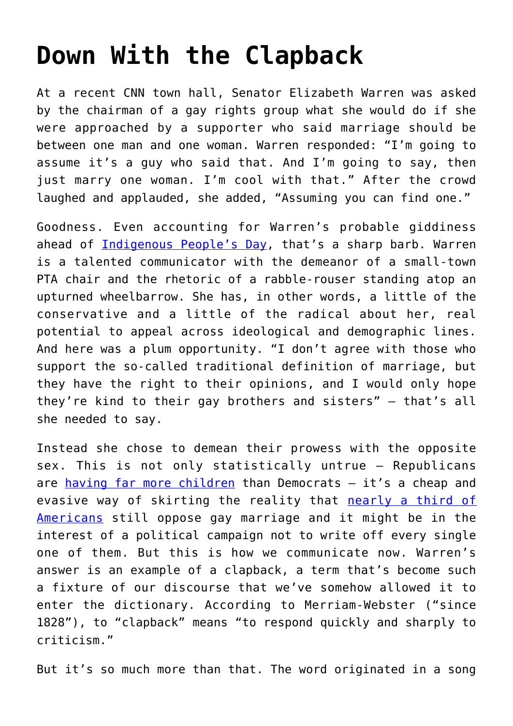## **[Down With the Clapback](https://intellectualtakeout.org/2019/10/down-with-the-clapback/)**

At a recent CNN town hall, Senator Elizabeth Warren was asked by the chairman of a gay rights group what she would do if she were approached by a supporter who said marriage should be between one man and one woman. Warren responded: "I'm going to assume it's a guy who said that. And I'm going to say, then just marry one woman. I'm cool with that." After the crowd laughed and applauded, she added, "Assuming you can find one."

Goodness. Even accounting for Warren's probable giddiness ahead of [Indigenous People's Day,](https://www.theamericanconservative.com/articles/columbus-day-still-needs-to-be-defended/) that's a sharp barb. Warren is a talented communicator with the demeanor of a small-town PTA chair and the rhetoric of a rabble-rouser standing atop an upturned wheelbarrow. She has, in other words, a little of the conservative and a little of the radical about her, real potential to appeal across ideological and demographic lines. And here was a plum opportunity. "I don't agree with those who support the so-called traditional definition of marriage, but they have the right to their opinions, and I would only hope they're kind to their gay brothers and sisters" – that's all she needed to say.

Instead she chose to demean their prowess with the opposite sex. This is not only statistically untrue – Republicans are [having far more children](https://www.fatherly.com/health-science/republicans-have-more-children/) than Democrats - it's a cheap and evasive way of skirting the reality that [nearly a third of](https://www.pewforum.org/fact-sheet/changing-attitudes-on-gay-marriage/) [Americans](https://www.pewforum.org/fact-sheet/changing-attitudes-on-gay-marriage/) still oppose gay marriage and it might be in the interest of a political campaign not to write off every single one of them. But this is how we communicate now. Warren's answer is an example of a clapback, a term that's become such a fixture of our discourse that we've somehow allowed it to enter the dictionary. According to Merriam-Webster ("since 1828"), to "clapback" means "to respond quickly and sharply to criticism."

But it's so much more than that. The word originated in a song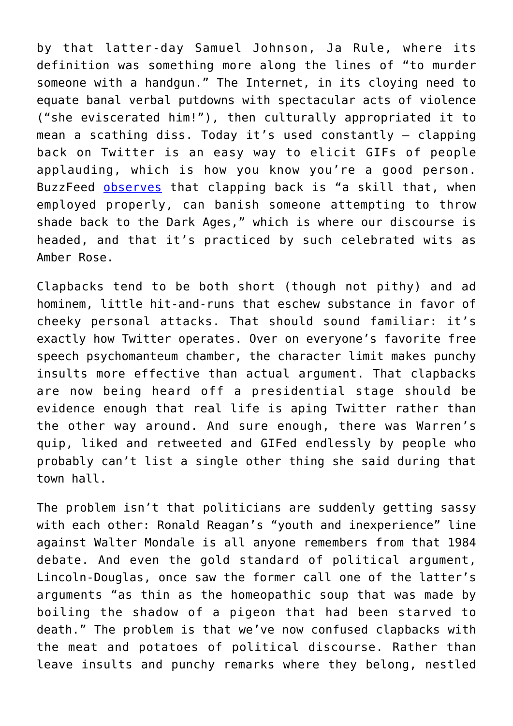by that latter-day Samuel Johnson, Ja Rule, where its definition was something more along the lines of "to murder someone with a handgun." The Internet, in its cloying need to equate banal verbal putdowns with spectacular acts of violence ("she eviscerated him!"), then culturally appropriated it to mean a scathing diss. Today it's used constantly – clapping back on Twitter is an easy way to elicit GIFs of people applauding, which is how you know you're a good person. BuzzFeed [observes](https://www.buzzfeed.com/aaronedwards/clapback-back-back-back-like-you-dont-care) that clapping back is "a skill that, when employed properly, can banish someone attempting to throw shade back to the Dark Ages," which is where our discourse is headed, and that it's practiced by such celebrated wits as Amber Rose.

Clapbacks tend to be both short (though not pithy) and ad hominem, little hit-and-runs that eschew substance in favor of cheeky personal attacks. That should sound familiar: it's exactly how Twitter operates. Over on everyone's favorite free speech psychomanteum chamber, the character limit makes punchy insults more effective than actual argument. That clapbacks are now being heard off a presidential stage should be evidence enough that real life is aping Twitter rather than the other way around. And sure enough, there was Warren's quip, liked and retweeted and GIFed endlessly by people who probably can't list a single other thing she said during that town hall.

The problem isn't that politicians are suddenly getting sassy with each other: Ronald Reagan's "youth and inexperience" line against Walter Mondale is all anyone remembers from that 1984 debate. And even the gold standard of political argument, Lincoln-Douglas, once saw the former call one of the latter's arguments "as thin as the homeopathic soup that was made by boiling the shadow of a pigeon that had been starved to death." The problem is that we've now confused clapbacks with the meat and potatoes of political discourse. Rather than leave insults and punchy remarks where they belong, nestled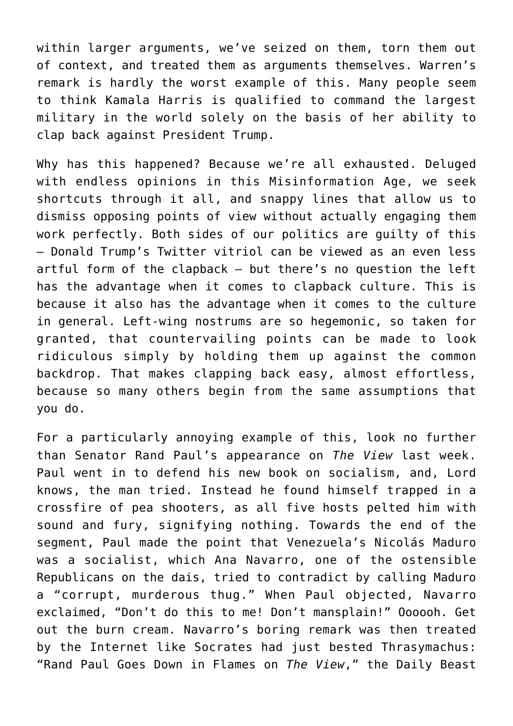within larger arguments, we've seized on them, torn them out of context, and treated them as arguments themselves. Warren's remark is hardly the worst example of this. Many people seem to think Kamala Harris is qualified to command the largest military in the world solely on the basis of her ability to clap back against President Trump.

Why has this happened? Because we're all exhausted. Deluged with endless opinions in this Misinformation Age, we seek shortcuts through it all, and snappy lines that allow us to dismiss opposing points of view without actually engaging them work perfectly. Both sides of our politics are guilty of this – Donald Trump's Twitter vitriol can be viewed as an even less artful form of the clapback – but there's no question the left has the advantage when it comes to clapback culture. This is because it also has the advantage when it comes to the culture in general. Left-wing nostrums are so hegemonic, so taken for granted, that countervailing points can be made to look ridiculous simply by holding them up against the common backdrop. That makes clapping back easy, almost effortless, because so many others begin from the same assumptions that you do.

For a particularly annoying example of this, look no further than Senator Rand Paul's appearance on *The View* last week. Paul went in to defend his new book on socialism, and, Lord knows, the man tried. Instead he found himself trapped in a crossfire of pea shooters, as all five hosts pelted him with sound and fury, signifying nothing. Towards the end of the segment, Paul made the point that Venezuela's Nicolás Maduro was a socialist, which Ana Navarro, one of the ostensible Republicans on the dais, tried to contradict by calling Maduro a "corrupt, murderous thug." When Paul objected, Navarro exclaimed, "Don't do this to me! Don't mansplain!" Oooooh. Get out the burn cream. Navarro's boring remark was then treated by the Internet like Socrates had just bested Thrasymachus: "Rand Paul Goes Down in Flames on *The View*," the Daily Beast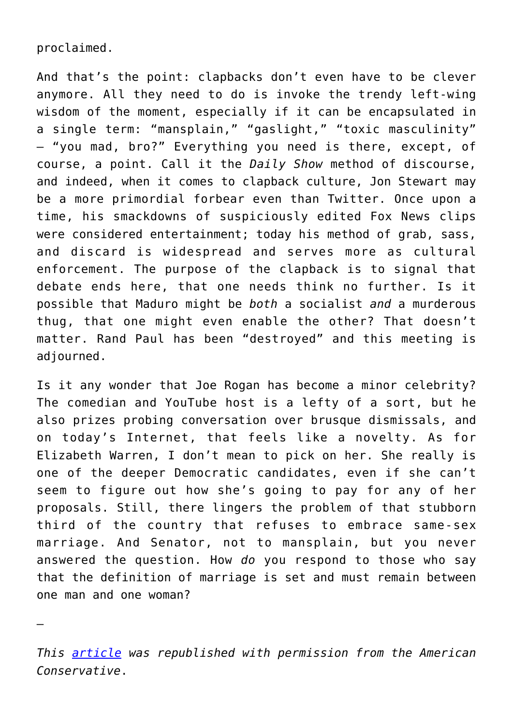proclaimed.

And that's the point: clapbacks don't even have to be clever anymore. All they need to do is invoke the trendy left-wing wisdom of the moment, especially if it can be encapsulated in a single term: "mansplain," "gaslight," "toxic masculinity" – "you mad, bro?" Everything you need is there, except, of course, a point. Call it the *Daily Show* method of discourse, and indeed, when it comes to clapback culture, Jon Stewart may be a more primordial forbear even than Twitter. Once upon a time, his smackdowns of suspiciously edited Fox News clips were considered entertainment; today his method of grab, sass, and discard is widespread and serves more as cultural enforcement. The purpose of the clapback is to signal that debate ends here, that one needs think no further. Is it possible that Maduro might be *both* a socialist *and* a murderous thug, that one might even enable the other? That doesn't matter. Rand Paul has been "destroyed" and this meeting is adiourned.

Is it any wonder that Joe Rogan has become a minor celebrity? The comedian and YouTube host is a lefty of a sort, but he also prizes probing conversation over brusque dismissals, and on today's Internet, that feels like a novelty. As for Elizabeth Warren, I don't mean to pick on her. She really is one of the deeper Democratic candidates, even if she can't seem to figure out how she's going to pay for any of her proposals. Still, there lingers the problem of that stubborn third of the country that refuses to embrace same-sex marriage. And Senator, not to mansplain, but you never answered the question. How *do* you respond to those who say that the definition of marriage is set and must remain between one man and one woman?

—

*This [article](https://www.theamericanconservative.com/articles/down-with-the-clapback/) was republished with permission from the American Conservative*.